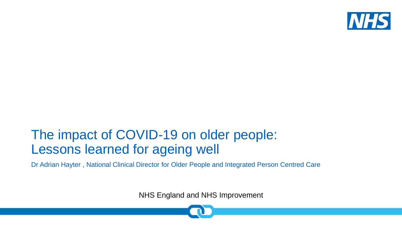

### The impact of COVID-19 on older people: Lessons learned for ageing well

Dr Adrian Hayter , National Clinical Director for Older People and Integrated Person Centred Care

NHS England and NHS Improvement

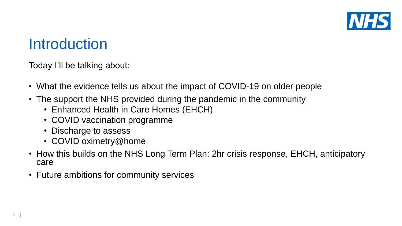

### Introduction

Today I'll be talking about:

- What the evidence tells us about the impact of COVID-19 on older people
- The support the NHS provided during the pandemic in the community
	- Enhanced Health in Care Homes (EHCH)
	- COVID vaccination programme
	- Discharge to assess
	- COVID oximetry@home
- How this builds on the NHS Long Term Plan: 2hr crisis response, EHCH, anticipatory care
- Future ambitions for community services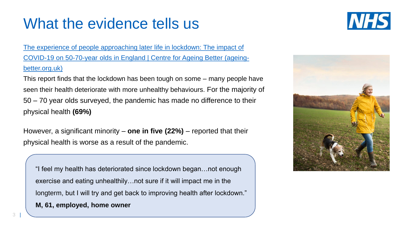# What the evidence tells us



The experience of people approaching later life in lockdown: The impact of [COVID-19 on 50-70-year olds in England | Centre for Ageing Better \(ageing](https://ageing-better.org.uk/publications/experience-people-approaching-later-life-lockdown-impact-covid-19-50-70-year-olds)better.org.uk)

This report finds that the lockdown has been tough on some – many people have seen their health deteriorate with more unhealthy behaviours. For the majority of 50 – 70 year olds surveyed, the pandemic has made no difference to their physical health **(69%)**

However, a significant minority – **one in five (22%)** – reported that their physical health is worse as a result of the pandemic.

"I feel my health has deteriorated since lockdown began…not enough exercise and eating unhealthily…not sure if it will impact me in the longterm, but I will try and get back to improving health after lockdown."

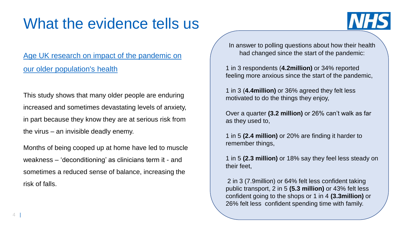# What the evidence tells us

### Age UK research on impact of the pandemic on our older population's health

This study shows that many older people are enduring increased and sometimes devastating levels of anxiety, in part because they know they are at serious risk from the virus – an invisible deadly enemy.

Months of being cooped up at home have led to muscle weakness – 'deconditioning' as clinicians term it - and sometimes a reduced sense of balance, increasing the risk of falls.

In answer to polling questions about how their health had changed since the start of the pandemic:

**NHS** 

1 in 3 respondents (**4.2million)** or 34% reported feeling more anxious since the start of the pandemic,

1 in 3 (**4.4million)** or 36% agreed they felt less motivated to do the things they enjoy,

Over a quarter **(3.2 million)** or 26% can't walk as far as they used to,

1 in 5 **(2.4 million)** or 20% are finding it harder to remember things,

1 in 5 **(2.3 million)** or 18% say they feel less steady on their feet,

2 in 3 (7.9million) or 64% felt less confident taking public transport, 2 in 5 **(5.3 million)** or 43% felt less confident going to the shops or 1 in 4 **(3.3million)** or 26% felt less confident spending time with family.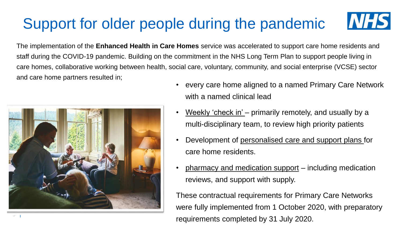# Support for older people during the pandemic





• every care home aligned to a named Primary Care Network with a named clinical lead

**NHS** 

- Weekly 'check in' primarily remotely, and usually by a multi-disciplinary team, to review high priority patients
- Development of personalised care and support plans for care home residents.
- pharmacy and medication support including medication reviews, and support with supply.

These contractual requirements for Primary Care Networks were fully implemented from 1 October 2020, with preparatory requirements completed by 31 July 2020.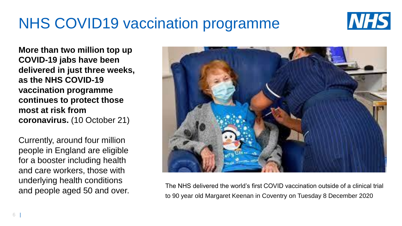# NHS COVID19 vaccination programme



**More than two million top up COVID-19 jabs have been delivered in just three weeks, as the NHS COVID-19 vaccination programme continues to protect those most at risk from coronavirus.** (10 October 21)

Currently, around four million people in England are eligible for a booster including health and care workers, those with underlying health conditions and people aged 50 and over.



The NHS delivered the world's first COVID vaccination outside of a clinical trial to 90 year old Margaret Keenan in Coventry on Tuesday 8 December 2020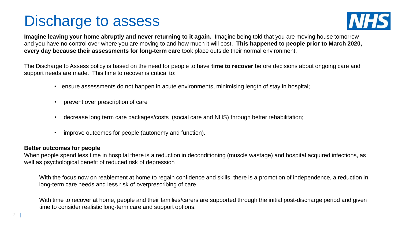# Discharge to assess



**Imagine leaving your home abruptly and never returning to it again.** Imagine being told that you are moving house tomorrow and you have no control over where you are moving to and how much it will cost. **This happened to people prior to March 2020, every day because their assessments for long-term care** took place outside their normal environment.

The Discharge to Assess policy is based on the need for people to have **time to recover** before decisions about ongoing care and support needs are made. This time to recover is critical to:

- ensure assessments do not happen in acute environments, minimising length of stay in hospital;
- prevent over prescription of care
- decrease long term care packages/costs (social care and NHS) through better rehabilitation;
- improve outcomes for people (autonomy and function).

#### **Better outcomes for people**

When people spend less time in hospital there is a reduction in deconditioning (muscle wastage) and hospital acquired infections, as well as psychological benefit of reduced risk of depression

With the focus now on reablement at home to regain confidence and skills, there is a promotion of independence, a reduction in long-term care needs and less risk of overprescribing of care

With time to recover at home, people and their families/carers are supported through the initial post-discharge period and given time to consider realistic long-term care and support options.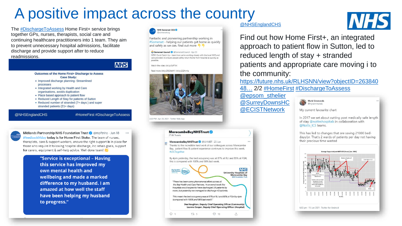# A positive impact across the country

The [#DischargeToAssess](https://twitter.com/hashtag/DischargeToAssess?src=hashtag_click) Home First+ service brings together GPs, nurses, therapists, social care and continuing healthcare practitioners into 1 team. They aim to prevent unnecessary hospital admissions, facilitate discharge and provide support after to reduce [readmissions.](https://twitter.com/NHSEnglandCHS/status/1445388318137634817/photo/1) 



- **Outcomes of the Home First+ Discharge to Assess Case Study:**
- Improved discharge planning- Streamlined processes
- Integrated working by Health and Care organisations, avoids duplication
- Place based approach to patient flow
- Reduced Length of Stay for patients of Sutton
- Reduced number of stranded (7+ days) and super stranded patients (21+ days)

@NHSEnglandCHS

#HomeFirst #DischargeToAssess

Midlands Partnership NHS Foundation Trust @ @mpftnhs · Jun 18 #feedbackfriday today is for Home First Stoke. The team of nurses, therapists, care & support workers, ensure the right support is in place for those who require it following hospital discharge, inc rehab goals, support for carers, equipment & self-help advice. Well done team!

> "Service is exceptional - Having this service has improved my own mental health and wellbeing and made a marked difference to my husband. I am amazed at how well the staff have been helping my husband to progress."



Fantastic and pioneering partnership working in #Somerset - helping our patients get home as quickly and safely as we can. Find out more

Somerset Council & @SomersetCouncil Apr 23 NEW! Covid Catch Up - learn how we're working closely with the local NHS and care providers to ensure people safely return home from hospital as quickly as possible

Watch the video: bit.ly/3dFTtrt

Read more: bit.ly/2PjObbM / bit.ly/2QNvnlu



2:32 PM - Apr 23, 2021 - Twitter Web App



#### [@NHSEnglandCHS](https://twitter.com/NHSEnglandCHS)



Find out how Home First+, an integrated approach to patient flow in Sutton, led to reduced length of stay + stranded patients and appropriate care moving i to the community:

[https://future.nhs.uk/RLHSNN/view?objectID=263840](https://t.co/gAEH0MGEb7?amp=1) 48… 2/2 [#HomeFirst](https://twitter.com/hashtag/HomeFirst?src=hashtag_click) [#DischargeToAssess](https://twitter.com/hashtag/DischargeToAssess?src=hashtag_click)

[@epsom\\_sthelier](https://twitter.com/epsom_sthelier) [@SurreyDownsHC](https://twitter.com/SurreyDownsHC) [@ECISTNetwork](https://twitter.com/ECISTNetwork)



My current favourite chart

In 2017 we set about cutting post medically safe length of stay @nottmhospitals in collaboration with @Notts ICS teams.

This has led to changes that are saving 21000 beddays/yr. That's 2 wards of patients per day not having their precious time wasted

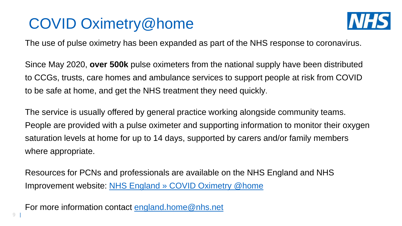# COVID Oximetry@home



The use of pulse oximetry has been expanded as part of the NHS response to coronavirus.

Since May 2020, **over 500k** pulse oximeters from the national supply have been distributed to CCGs, trusts, care homes and ambulance services to support people at risk from COVID to be safe at home, and get the NHS treatment they need quickly.

The service is usually offered by general practice working alongside community teams. People are provided with a pulse oximeter and supporting information to monitor their oxygen saturation levels at home for up to 14 days, supported by carers and/or family members where appropriate.

Resources for PCNs and professionals are available on the NHS England and NHS Improvement website: [NHS England » COVID Oximetry @home](https://www.england.nhs.uk/nhs-at-home/covid-oximetry-at-home/)

For more information contact [england.home@nhs.net](mailto:england.home@nhs.net)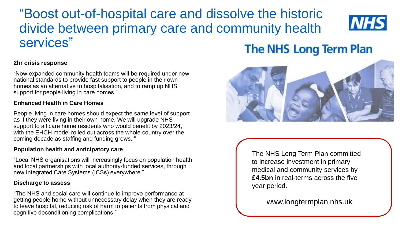### "Boost out-of-hospital care and dissolve the historic divide between primary care and community health services"



#### **2hr crisis response**

"Now expanded community health teams will be required under new national standards to provide fast support to people in their own homes as an alternative to hospitalisation, and to ramp up NHS support for people living in care homes."

#### **Enhanced Health in Care Homes**

People living in care homes should expect the same level of support as if they were living in their own home. We will upgrade NHS support to all care home residents who would benefit by 2023/24, with the EHCH model rolled out across the whole country over the coming decade as staffing and funding grows. "

#### **Population health and anticipatory care**

"Local NHS organisations will increasingly focus on population health and local partnerships with local authority-funded services, through new Integrated Care Systems (ICSs) everywhere."

#### **Discharge to assess**

10 | cognitive deconditioning complications." "The NHS and social care will continue to improve performance at getting people home without unnecessary delay when they are ready to leave hospital, reducing risk of harm to patients from physical and

### **The NHS Long Term Plan**



The NHS Long Term Plan committed to increase investment in primary medical and community services by **£4.5bn** in real-terms across the five year period.

www.longtermplan.nhs.uk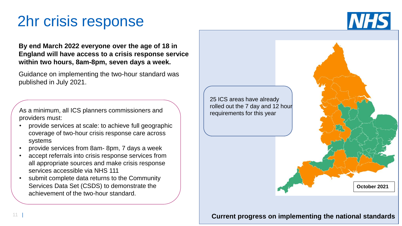# 2hr crisis response

**NHS** 

**By end March 2022 everyone over the age of 18 in England will have access to a crisis response service within two hours, 8am-8pm, seven days a week.**

Guidance on implementing the two-hour standard was published in July 2021.

As a minimum, all ICS planners commissioners and providers must:

- provide services at scale: to achieve full geographic coverage of two-hour crisis response care across systems
- provide services from 8am- 8pm, 7 days a week
- accept referrals into crisis response services from all appropriate sources and make crisis response services accessible via NHS 111
- submit complete data returns to the Community Services Data Set (CSDS) to demonstrate the achievement of the two-hour standard.



#### **Current progress on implementing the national standards**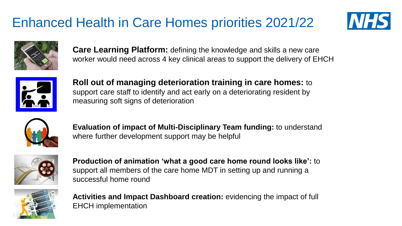## Enhanced Health in Care Homes priorities 2021/22





**Care Learning Platform:** defining the knowledge and skills a new care worker would need across 4 key clinical areas to support the delivery of EHCH



**Roll out of managing deterioration training in care homes:** to support care staff to identify and act early on a deteriorating resident by measuring soft signs of deterioration



**Evaluation of impact of Multi-Disciplinary Team funding:** to understand where further development support may be helpful



**Production of animation 'what a good care home round looks like':** to support all members of the care home MDT in setting up and running a successful home round



**Activities and Impact Dashboard creation:** evidencing the impact of full EHCH implementation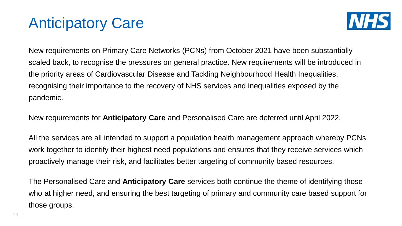# Anticipatory Care



New requirements on Primary Care Networks (PCNs) from October 2021 have been substantially scaled back, to recognise the pressures on general practice. New requirements will be introduced in the priority areas of Cardiovascular Disease and Tackling Neighbourhood Health Inequalities, recognising their importance to the recovery of NHS services and inequalities exposed by the pandemic.

New requirements for **Anticipatory Care** and Personalised Care are deferred until April 2022.

All the services are all intended to support a population health management approach whereby PCNs work together to identify their highest need populations and ensures that they receive services which proactively manage their risk, and facilitates better targeting of community based resources.

The Personalised Care and **Anticipatory Care** services both continue the theme of identifying those who at higher need, and ensuring the best targeting of primary and community care based support for those groups.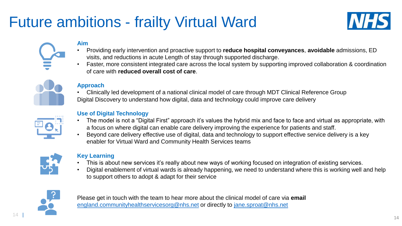# Future ambitions - frailty Virtual Ward



#### **Aim**

- Providing early intervention and proactive support to **reduce hospital conveyances**, **avoidable** admissions, ED visits, and reductions in acute Length of stay through supported discharge.
- Faster, more consistent integrated care across the local system by supporting improved collaboration & coordination of care with **reduced overall cost of care**.



#### **Approach**

• Clinically led development of a national clinical model of care through MDT Clinical Reference Group Digital Discovery to understand how digital, data and technology could improve care delivery



#### **Use of Digital Technology**

- The model is not a "Digital First" approach it's values the hybrid mix and face to face and virtual as appropriate, with a focus on where digital can enable care delivery improving the experience for patients and staff.
- Beyond care delivery effective use of digital, data and technology to support effective service delivery is a key enabler for Virtual Ward and Community Health Services teams



#### **Key Learning**

- This is about new services it's really about new ways of working focused on integration of existing services.
- Digital enablement of virtual wards is already happening, we need to understand where this is working well and help to support others to adopt & adapt for their service



Please get in touch with the team to hear more about the clinical model of care via **email** [england.communityhealthservicesorg@nhs.net](mailto:england.communityhealthservicesorg@nhs.net) or directly to [jane.sproat@nhs.net](mailto:jane.sproat@nhs.net)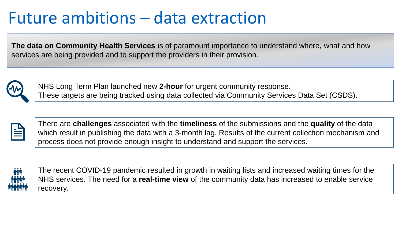# Future ambitions – data extraction

**The data on Community Health Services** is of paramount importance to understand where, what and how services are being provided and to support the providers in their provision.



NHS Long Term Plan launched new **2-hour** for urgent community response. These targets are being tracked using data collected via Community Services Data Set (CSDS).



There are **challenges** associated with the **timeliness** of the submissions and the **quality** of the data which result in publishing the data with a 3-month lag. Results of the current collection mechanism and process does not provide enough insight to understand and support the services.



The recent COVID-19 pandemic resulted in growth in waiting lists and increased waiting times for the NHS services. The need for a **real-time view** of the community data has increased to enable service recovery.